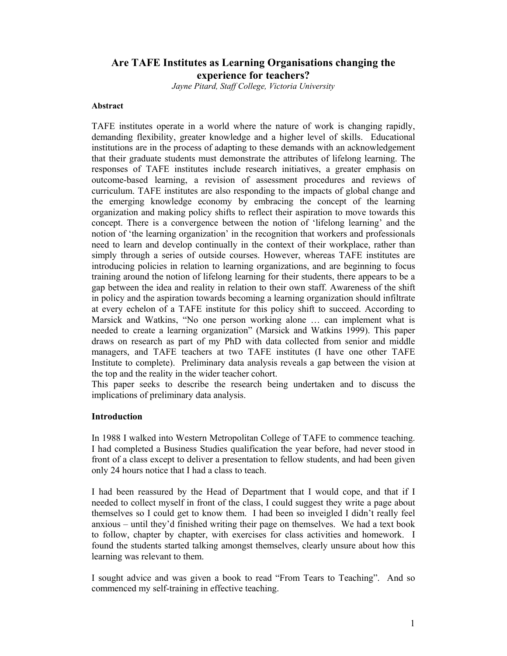# **Are TAFE Institutes as Learning Organisations changing the experience for teachers?**

*Jayne Pitard, Staff College, Victoria University* 

#### **Abstract**

TAFE institutes operate in a world where the nature of work is changing rapidly, demanding flexibility, greater knowledge and a higher level of skills. Educational institutions are in the process of adapting to these demands with an acknowledgement that their graduate students must demonstrate the attributes of lifelong learning. The responses of TAFE institutes include research initiatives, a greater emphasis on outcome-based learning, a revision of assessment procedures and reviews of curriculum. TAFE institutes are also responding to the impacts of global change and the emerging knowledge economy by embracing the concept of the learning organization and making policy shifts to reflect their aspiration to move towards this concept. There is a convergence between the notion of 'lifelong learning' and the notion of 'the learning organization' in the recognition that workers and professionals need to learn and develop continually in the context of their workplace, rather than simply through a series of outside courses. However, whereas TAFE institutes are introducing policies in relation to learning organizations, and are beginning to focus training around the notion of lifelong learning for their students, there appears to be a gap between the idea and reality in relation to their own staff. Awareness of the shift in policy and the aspiration towards becoming a learning organization should infiltrate at every echelon of a TAFE institute for this policy shift to succeed. According to Marsick and Watkins, "No one person working alone … can implement what is needed to create a learning organization" (Marsick and Watkins 1999). This paper draws on research as part of my PhD with data collected from senior and middle managers, and TAFE teachers at two TAFE institutes (I have one other TAFE Institute to complete). Preliminary data analysis reveals a gap between the vision at the top and the reality in the wider teacher cohort.

This paper seeks to describe the research being undertaken and to discuss the implications of preliminary data analysis.

#### **Introduction**

In 1988 I walked into Western Metropolitan College of TAFE to commence teaching. I had completed a Business Studies qualification the year before, had never stood in front of a class except to deliver a presentation to fellow students, and had been given only 24 hours notice that I had a class to teach.

I had been reassured by the Head of Department that I would cope, and that if I needed to collect myself in front of the class, I could suggest they write a page about themselves so I could get to know them. I had been so inveigled I didn't really feel anxious – until they'd finished writing their page on themselves. We had a text book to follow, chapter by chapter, with exercises for class activities and homework. I found the students started talking amongst themselves, clearly unsure about how this learning was relevant to them.

I sought advice and was given a book to read "From Tears to Teaching". And so commenced my self-training in effective teaching.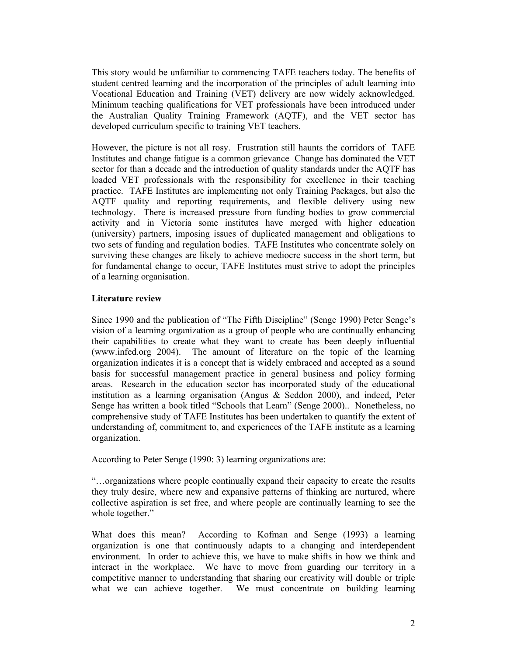This story would be unfamiliar to commencing TAFE teachers today. The benefits of student centred learning and the incorporation of the principles of adult learning into Vocational Education and Training (VET) delivery are now widely acknowledged. Minimum teaching qualifications for VET professionals have been introduced under the Australian Quality Training Framework (AQTF), and the VET sector has developed curriculum specific to training VET teachers.

However, the picture is not all rosy. Frustration still haunts the corridors of TAFE Institutes and change fatigue is a common grievance Change has dominated the VET sector for than a decade and the introduction of quality standards under the AQTF has loaded VET professionals with the responsibility for excellence in their teaching practice. TAFE Institutes are implementing not only Training Packages, but also the AQTF quality and reporting requirements, and flexible delivery using new technology. There is increased pressure from funding bodies to grow commercial activity and in Victoria some institutes have merged with higher education (university) partners, imposing issues of duplicated management and obligations to two sets of funding and regulation bodies. TAFE Institutes who concentrate solely on surviving these changes are likely to achieve mediocre success in the short term, but for fundamental change to occur, TAFE Institutes must strive to adopt the principles of a learning organisation.

### **Literature review**

Since 1990 and the publication of "The Fifth Discipline" (Senge 1990) Peter Senge's vision of a learning organization as a group of people who are continually enhancing their capabilities to create what they want to create has been deeply influential (www.infed.org 2004). The amount of literature on the topic of the learning organization indicates it is a concept that is widely embraced and accepted as a sound basis for successful management practice in general business and policy forming areas. Research in the education sector has incorporated study of the educational institution as a learning organisation (Angus & Seddon 2000), and indeed, Peter Senge has written a book titled "Schools that Learn" (Senge 2000).. Nonetheless, no comprehensive study of TAFE Institutes has been undertaken to quantify the extent of understanding of, commitment to, and experiences of the TAFE institute as a learning organization.

According to Peter Senge (1990: 3) learning organizations are:

"…organizations where people continually expand their capacity to create the results they truly desire, where new and expansive patterns of thinking are nurtured, where collective aspiration is set free, and where people are continually learning to see the whole together."

What does this mean? According to Kofman and Senge (1993) a learning organization is one that continuously adapts to a changing and interdependent environment. In order to achieve this, we have to make shifts in how we think and interact in the workplace. We have to move from guarding our territory in a competitive manner to understanding that sharing our creativity will double or triple what we can achieve together. We must concentrate on building learning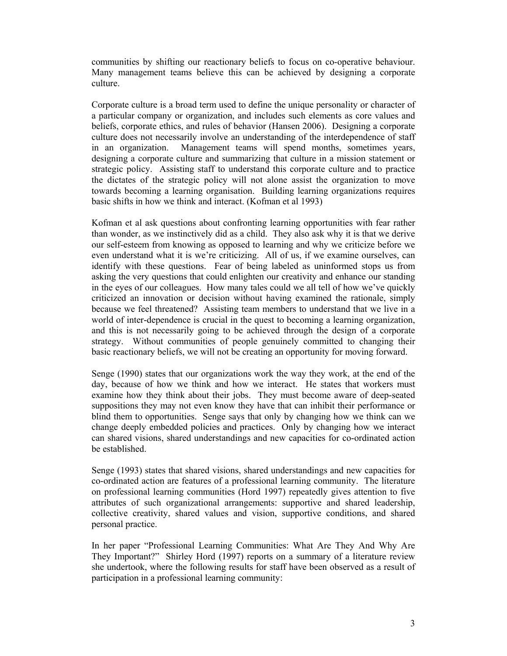communities by shifting our reactionary beliefs to focus on co-operative behaviour. Many management teams believe this can be achieved by designing a corporate culture.

Corporate culture is a broad term used to define the unique personality or character of a particular company or organization, and includes such elements as core values and beliefs, corporate ethics, and rules of behavior (Hansen 2006). Designing a corporate culture does not necessarily involve an understanding of the interdependence of staff in an organization. Management teams will spend months, sometimes years, designing a corporate culture and summarizing that culture in a mission statement or strategic policy. Assisting staff to understand this corporate culture and to practice the dictates of the strategic policy will not alone assist the organization to move towards becoming a learning organisation. Building learning organizations requires basic shifts in how we think and interact. (Kofman et al 1993)

Kofman et al ask questions about confronting learning opportunities with fear rather than wonder, as we instinctively did as a child. They also ask why it is that we derive our self-esteem from knowing as opposed to learning and why we criticize before we even understand what it is we're criticizing. All of us, if we examine ourselves, can identify with these questions. Fear of being labeled as uninformed stops us from asking the very questions that could enlighten our creativity and enhance our standing in the eyes of our colleagues. How many tales could we all tell of how we've quickly criticized an innovation or decision without having examined the rationale, simply because we feel threatened? Assisting team members to understand that we live in a world of inter-dependence is crucial in the quest to becoming a learning organization, and this is not necessarily going to be achieved through the design of a corporate strategy. Without communities of people genuinely committed to changing their basic reactionary beliefs, we will not be creating an opportunity for moving forward.

Senge (1990) states that our organizations work the way they work, at the end of the day, because of how we think and how we interact. He states that workers must examine how they think about their jobs. They must become aware of deep-seated suppositions they may not even know they have that can inhibit their performance or blind them to opportunities. Senge says that only by changing how we think can we change deeply embedded policies and practices. Only by changing how we interact can shared visions, shared understandings and new capacities for co-ordinated action be established.

Senge (1993) states that shared visions, shared understandings and new capacities for co-ordinated action are features of a professional learning community. The literature on professional learning communities (Hord 1997) repeatedly gives attention to five attributes of such organizational arrangements: supportive and shared leadership, collective creativity, shared values and vision, supportive conditions, and shared personal practice.

In her paper "Professional Learning Communities: What Are They And Why Are They Important?" Shirley Hord (1997) reports on a summary of a literature review she undertook, where the following results for staff have been observed as a result of participation in a professional learning community: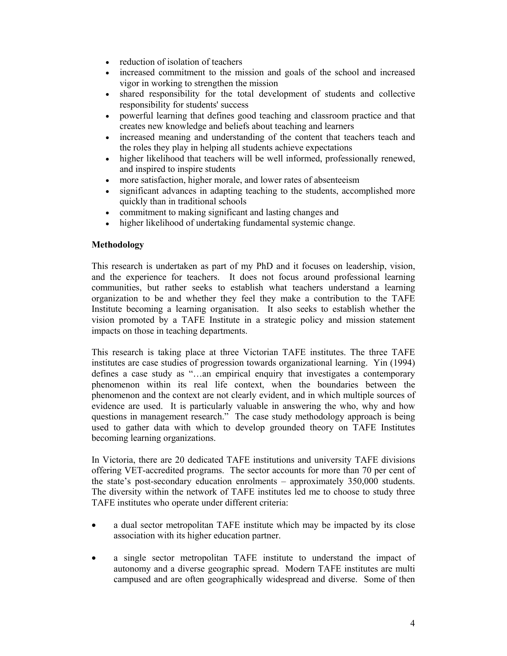- reduction of isolation of teachers
- increased commitment to the mission and goals of the school and increased vigor in working to strengthen the mission
- shared responsibility for the total development of students and collective responsibility for students' success
- powerful learning that defines good teaching and classroom practice and that creates new knowledge and beliefs about teaching and learners
- increased meaning and understanding of the content that teachers teach and the roles they play in helping all students achieve expectations
- higher likelihood that teachers will be well informed, professionally renewed, and inspired to inspire students
- more satisfaction, higher morale, and lower rates of absenteeism
- significant advances in adapting teaching to the students, accomplished more quickly than in traditional schools
- commitment to making significant and lasting changes and
- higher likelihood of undertaking fundamental systemic change.

#### **Methodology**

This research is undertaken as part of my PhD and it focuses on leadership, vision, and the experience for teachers. It does not focus around professional learning communities, but rather seeks to establish what teachers understand a learning organization to be and whether they feel they make a contribution to the TAFE Institute becoming a learning organisation. It also seeks to establish whether the vision promoted by a TAFE Institute in a strategic policy and mission statement impacts on those in teaching departments.

This research is taking place at three Victorian TAFE institutes. The three TAFE institutes are case studies of progression towards organizational learning. Yin (1994) defines a case study as "…an empirical enquiry that investigates a contemporary phenomenon within its real life context, when the boundaries between the phenomenon and the context are not clearly evident, and in which multiple sources of evidence are used. It is particularly valuable in answering the who, why and how questions in management research." The case study methodology approach is being used to gather data with which to develop grounded theory on TAFE Institutes becoming learning organizations.

In Victoria, there are 20 dedicated TAFE institutions and university TAFE divisions offering VET-accredited programs. The sector accounts for more than 70 per cent of the state's post-secondary education enrolments – approximately 350,000 students. The diversity within the network of TAFE institutes led me to choose to study three TAFE institutes who operate under different criteria:

- a dual sector metropolitan TAFE institute which may be impacted by its close association with its higher education partner.
- a single sector metropolitan TAFE institute to understand the impact of autonomy and a diverse geographic spread. Modern TAFE institutes are multi campused and are often geographically widespread and diverse. Some of then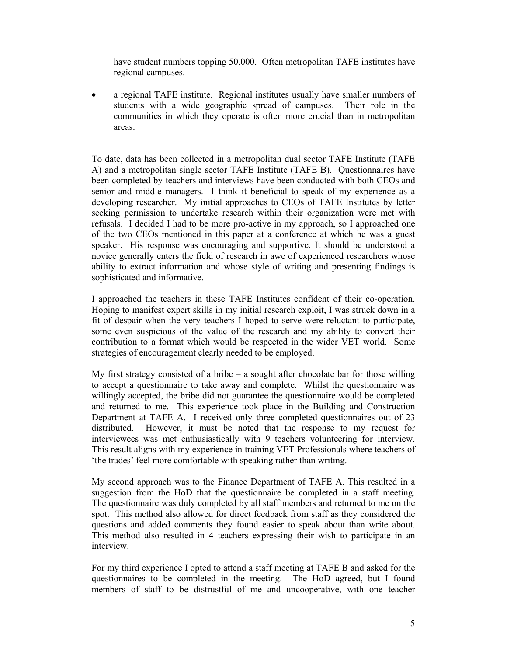have student numbers topping 50,000. Often metropolitan TAFE institutes have regional campuses.

• a regional TAFE institute. Regional institutes usually have smaller numbers of students with a wide geographic spread of campuses. Their role in the communities in which they operate is often more crucial than in metropolitan areas.

To date, data has been collected in a metropolitan dual sector TAFE Institute (TAFE A) and a metropolitan single sector TAFE Institute (TAFE B). Questionnaires have been completed by teachers and interviews have been conducted with both CEOs and senior and middle managers. I think it beneficial to speak of my experience as a developing researcher. My initial approaches to CEOs of TAFE Institutes by letter seeking permission to undertake research within their organization were met with refusals. I decided I had to be more pro-active in my approach, so I approached one of the two CEOs mentioned in this paper at a conference at which he was a guest speaker. His response was encouraging and supportive. It should be understood a novice generally enters the field of research in awe of experienced researchers whose ability to extract information and whose style of writing and presenting findings is sophisticated and informative.

I approached the teachers in these TAFE Institutes confident of their co-operation. Hoping to manifest expert skills in my initial research exploit, I was struck down in a fit of despair when the very teachers I hoped to serve were reluctant to participate, some even suspicious of the value of the research and my ability to convert their contribution to a format which would be respected in the wider VET world. Some strategies of encouragement clearly needed to be employed.

My first strategy consisted of a bribe  $-$  a sought after chocolate bar for those willing to accept a questionnaire to take away and complete. Whilst the questionnaire was willingly accepted, the bribe did not guarantee the questionnaire would be completed and returned to me. This experience took place in the Building and Construction Department at TAFE A. I received only three completed questionnaires out of 23 distributed. However, it must be noted that the response to my request for interviewees was met enthusiastically with 9 teachers volunteering for interview. This result aligns with my experience in training VET Professionals where teachers of 'the trades' feel more comfortable with speaking rather than writing.

My second approach was to the Finance Department of TAFE A. This resulted in a suggestion from the HoD that the questionnaire be completed in a staff meeting. The questionnaire was duly completed by all staff members and returned to me on the spot. This method also allowed for direct feedback from staff as they considered the questions and added comments they found easier to speak about than write about. This method also resulted in 4 teachers expressing their wish to participate in an interview.

For my third experience I opted to attend a staff meeting at TAFE B and asked for the questionnaires to be completed in the meeting. The HoD agreed, but I found members of staff to be distrustful of me and uncooperative, with one teacher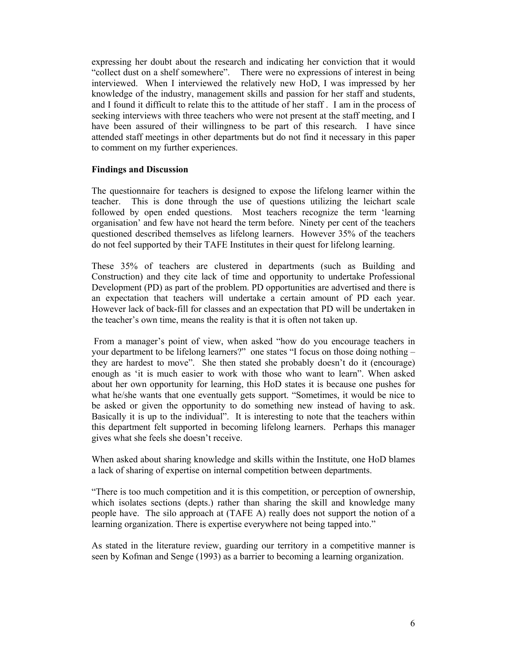expressing her doubt about the research and indicating her conviction that it would "collect dust on a shelf somewhere". There were no expressions of interest in being interviewed. When I interviewed the relatively new HoD, I was impressed by her knowledge of the industry, management skills and passion for her staff and students, and I found it difficult to relate this to the attitude of her staff . I am in the process of seeking interviews with three teachers who were not present at the staff meeting, and I have been assured of their willingness to be part of this research. I have since attended staff meetings in other departments but do not find it necessary in this paper to comment on my further experiences.

#### **Findings and Discussion**

The questionnaire for teachers is designed to expose the lifelong learner within the teacher. This is done through the use of questions utilizing the leichart scale followed by open ended questions. Most teachers recognize the term 'learning organisation' and few have not heard the term before. Ninety per cent of the teachers questioned described themselves as lifelong learners. However 35% of the teachers do not feel supported by their TAFE Institutes in their quest for lifelong learning.

These 35% of teachers are clustered in departments (such as Building and Construction) and they cite lack of time and opportunity to undertake Professional Development (PD) as part of the problem. PD opportunities are advertised and there is an expectation that teachers will undertake a certain amount of PD each year. However lack of back-fill for classes and an expectation that PD will be undertaken in the teacher's own time, means the reality is that it is often not taken up.

 From a manager's point of view, when asked "how do you encourage teachers in your department to be lifelong learners?" one states "I focus on those doing nothing – they are hardest to move". She then stated she probably doesn't do it (encourage) enough as 'it is much easier to work with those who want to learn". When asked about her own opportunity for learning, this HoD states it is because one pushes for what he/she wants that one eventually gets support. "Sometimes, it would be nice to be asked or given the opportunity to do something new instead of having to ask. Basically it is up to the individual". It is interesting to note that the teachers within this department felt supported in becoming lifelong learners. Perhaps this manager gives what she feels she doesn't receive.

When asked about sharing knowledge and skills within the Institute, one HoD blames a lack of sharing of expertise on internal competition between departments.

"There is too much competition and it is this competition, or perception of ownership, which isolates sections (depts.) rather than sharing the skill and knowledge many people have. The silo approach at (TAFE A) really does not support the notion of a learning organization. There is expertise everywhere not being tapped into."

As stated in the literature review, guarding our territory in a competitive manner is seen by Kofman and Senge (1993) as a barrier to becoming a learning organization.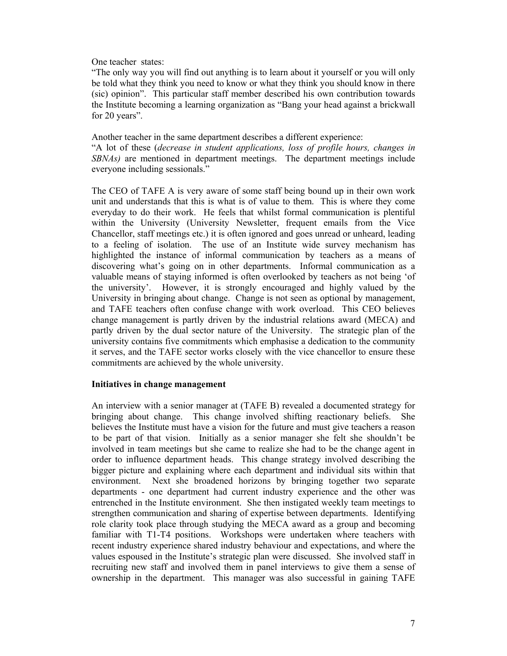One teacher states:

"The only way you will find out anything is to learn about it yourself or you will only be told what they think you need to know or what they think you should know in there (sic) opinion". This particular staff member described his own contribution towards the Institute becoming a learning organization as "Bang your head against a brickwall for 20 years".

#### Another teacher in the same department describes a different experience:

"A lot of these (*decrease in student applications, loss of profile hours, changes in SBNAs)* are mentioned in department meetings. The department meetings include everyone including sessionals."

The CEO of TAFE A is very aware of some staff being bound up in their own work unit and understands that this is what is of value to them. This is where they come everyday to do their work. He feels that whilst formal communication is plentiful within the University (University Newsletter, frequent emails from the Vice Chancellor, staff meetings etc.) it is often ignored and goes unread or unheard, leading to a feeling of isolation. The use of an Institute wide survey mechanism has highlighted the instance of informal communication by teachers as a means of discovering what's going on in other departments. Informal communication as a valuable means of staying informed is often overlooked by teachers as not being 'of the university'. However, it is strongly encouraged and highly valued by the University in bringing about change. Change is not seen as optional by management, and TAFE teachers often confuse change with work overload. This CEO believes change management is partly driven by the industrial relations award (MECA) and partly driven by the dual sector nature of the University. The strategic plan of the university contains five commitments which emphasise a dedication to the community it serves, and the TAFE sector works closely with the vice chancellor to ensure these commitments are achieved by the whole university.

## **Initiatives in change management**

An interview with a senior manager at (TAFE B) revealed a documented strategy for bringing about change. This change involved shifting reactionary beliefs. She believes the Institute must have a vision for the future and must give teachers a reason to be part of that vision. Initially as a senior manager she felt she shouldn't be involved in team meetings but she came to realize she had to be the change agent in order to influence department heads. This change strategy involved describing the bigger picture and explaining where each department and individual sits within that environment. Next she broadened horizons by bringing together two separate departments - one department had current industry experience and the other was entrenched in the Institute environment. She then instigated weekly team meetings to strengthen communication and sharing of expertise between departments. Identifying role clarity took place through studying the MECA award as a group and becoming familiar with T1-T4 positions. Workshops were undertaken where teachers with recent industry experience shared industry behaviour and expectations, and where the values espoused in the Institute's strategic plan were discussed. She involved staff in recruiting new staff and involved them in panel interviews to give them a sense of ownership in the department. This manager was also successful in gaining TAFE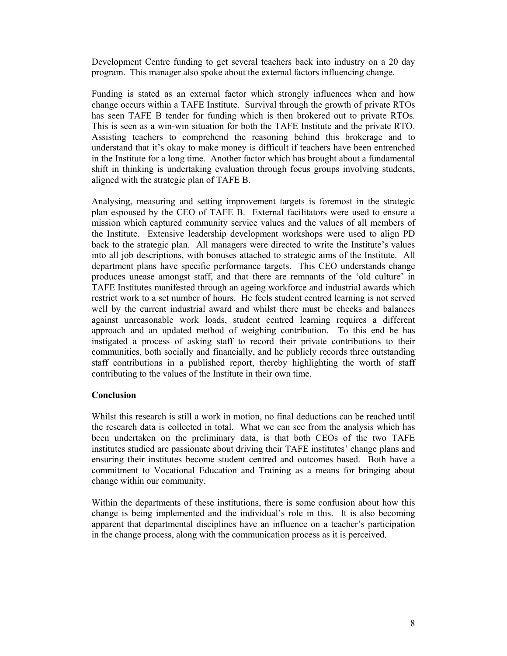Development Centre funding to get several teachers back into industry on a 20 day program. This manager also spoke about the external factors influencing change.

Funding is stated as an external factor which strongly influences when and how change occurs within a TAFE Institute. Survival through the growth of private RTOs has seen TAFE B tender for funding which is then brokered out to private RTOs. This is seen as a win-win situation for both the TAFE Institute and the private RTO. Assisting teachers to comprehend the reasoning behind this brokerage and to understand that it's okay to make money is difficult if teachers have been entrenched in the Institute for a long time. Another factor which has brought about a fundamental shift in thinking is undertaking evaluation through focus groups involving students, aligned with the strategic plan of TAFE B.

Analysing, measuring and setting improvement targets is foremost in the strategic plan espoused by the CEO of TAFE B. External facilitators were used to ensure a mission which captured community service values and the values of all members of the Institute. Extensive leadership development workshops were used to align PD back to the strategic plan. All managers were directed to write the Institute's values into all job descriptions, with bonuses attached to strategic aims of the Institute. All department plans have specific performance targets. This CEO understands change produces unease amongst staff, and that there are remnants of the 'old culture' in TAFE Institutes manifested through an ageing workforce and industrial awards which restrict work to a set number of hours. He feels student centred learning is not served well by the current industrial award and whilst there must be checks and balances against unreasonable work loads, student centred learning requires a different approach and an updated method of weighing contribution. To this end he has instigated a process of asking staff to record their private contributions to their communities, both socially and financially, and he publicly records three outstanding staff contributions in a published report, thereby highlighting the worth of staff contributing to the values of the Institute in their own time.

#### **Conclusion**

Whilst this research is still a work in motion, no final deductions can be reached until the research data is collected in total. What we can see from the analysis which has been undertaken on the preliminary data, is that both CEOs of the two TAFE institutes studied are passionate about driving their TAFE institutes' change plans and ensuring their institutes become student centred and outcomes based. Both have a commitment to Vocational Education and Training as a means for bringing about change within our community.

Within the departments of these institutions, there is some confusion about how this change is being implemented and the individual's role in this. It is also becoming apparent that departmental disciplines have an influence on a teacher's participation in the change process, along with the communication process as it is perceived.